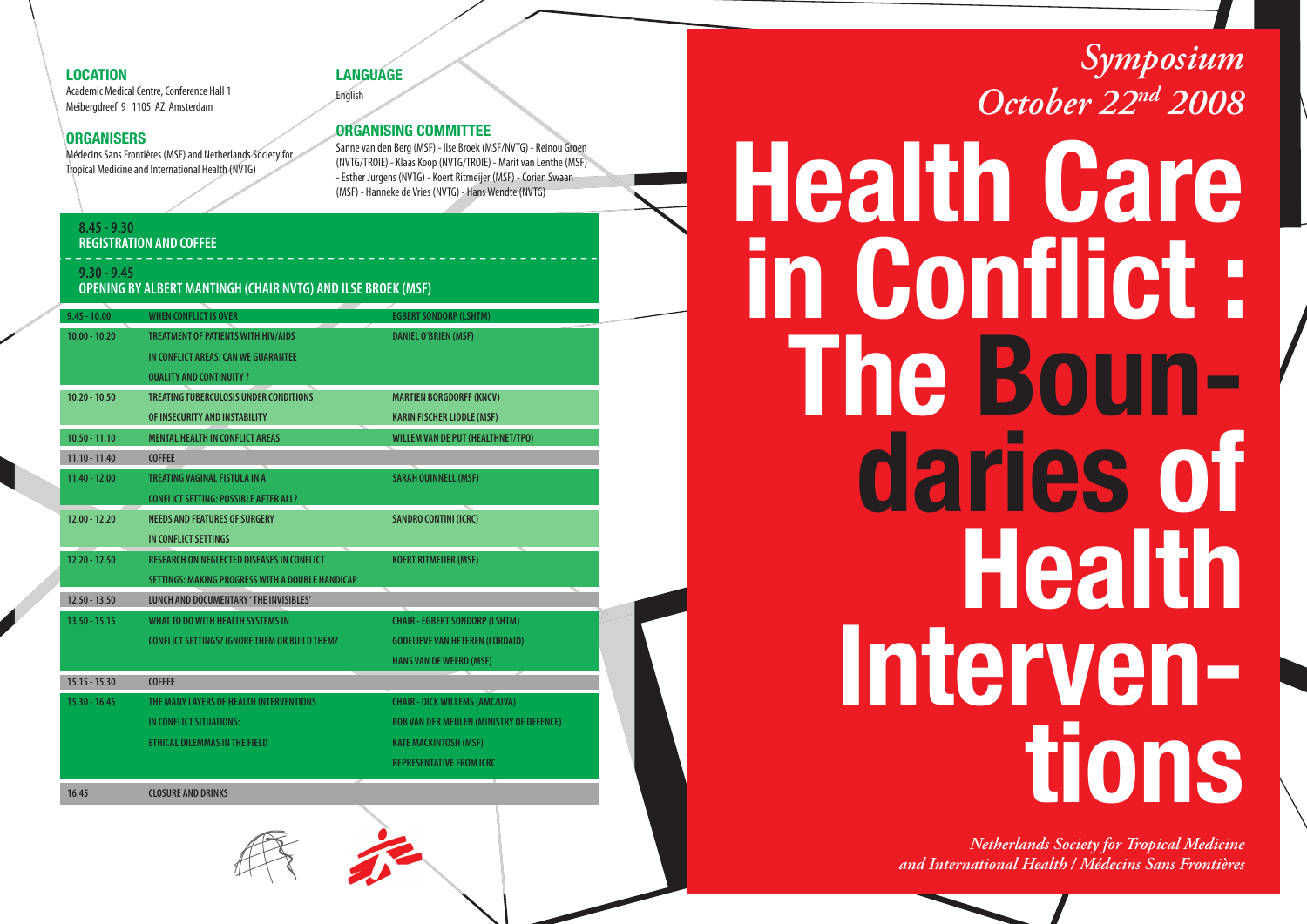### **LOCATION**

Academic Medical Centre, Conference Hall 1 Meibergdreef 9 1105 AZ Amsterdam

### **ORGANISERS**

Médecins Sans Frontières (MSF) and Netherlands Society for Tropical Medicine and International Health (NVTG)

### **LANGUAGE**English

### **ORGANISING COMMITTEE**

Sanne van den Berg (MSF) - Ilse Broek (MSF/NVTG) - Reinou Groen (NVTG/TROIE) - Klaas Koop (NVTG/TROIE) - Marit van Lenthe (MSF) - Esther Jurgens (NVTG) - Koert Ritmeijer (MSF) - Corien Swaan

### **8.45 - 9.30REGISTRATION AND COFFEE**

#### **9.30 - 9.45**

### **OPENING BY ALBERT MANTINGH (CHAIR NVTG) AND ILSE BROEK (MSF)**

| $9.45 - 10.00$  | <b>WHEN CONFLICT IS OVER</b>                         | <b>EGBERT SONDORP (LSHTM)</b>                   |  |
|-----------------|------------------------------------------------------|-------------------------------------------------|--|
| $10.00 - 10.20$ | <b>TREATMENT OF PATIENTS WITH HIV/AIDS</b>           | <b>DANIEL O'BRIEN (MSF)</b>                     |  |
|                 | IN CONFLICT AREAS: CAN WE GUARANTEE                  |                                                 |  |
|                 | <b>QUALITY AND CONTINUITY ?</b>                      |                                                 |  |
| $10.20 - 10.50$ | <b>TREATING TUBERCULOSIS UNDER CONDITIONS</b>        | <b>MARTIEN BORGDORFF (KNCV)</b>                 |  |
|                 | OF INSECURITY AND INSTABILITY                        | <b>KARIN FISCHER LIDDLE (MSF)</b>               |  |
| $10.50 - 11.10$ | <b>MENTAL HEALTH IN CONFLICT AREAS</b>               | <b>WILLEM VAN DE PUT (HEALTHNET/TPO)</b>        |  |
| $11.10 - 11.40$ | <b>COFFEE</b>                                        |                                                 |  |
| $11.40 - 12.00$ | TREATING VAGINAL FISTULA IN A                        | <b>SARAH QUINNELL (MSF)</b>                     |  |
|                 | <b>CONFLICT SETTING: POSSIBLE AFTER ALL?</b>         |                                                 |  |
| $12.00 - 12.20$ | <b>NEEDS AND FEATURES OF SURGERY</b>                 | <b>SANDRO CONTINI (ICRC)</b>                    |  |
|                 | IN CONFLICT SETTINGS                                 |                                                 |  |
| $12.20 - 12.50$ | <b>RESEARCH ON NEGLECTED DISEASES IN CONFLICT</b>    | <b>KOERT RITMEIJER (MSF)</b>                    |  |
|                 | SETTINGS: MAKING PROGRESS WITH A DOUBLE HANDICAP     |                                                 |  |
| $12.50 - 13.50$ | LUNCH AND DOCUMENTARY 'THE INVISIBLES'               |                                                 |  |
| $13.50 - 15.15$ | WHAT TO DO WITH HEALTH SYSTEMS IN                    | <b>CHAIR - EGBERT SONDORP (LSHTM)</b>           |  |
|                 | <b>CONFLICT SETTINGS? IGNORE THEM OR BUILD THEM?</b> | <b>GODELIEVE VAN HETEREN (CORDAID)</b>          |  |
|                 |                                                      | <b>HANS VAN DE WEERD (MSF)</b>                  |  |
| $15.15 - 15.30$ | <b>COFFEE</b>                                        |                                                 |  |
| $15.30 - 16.45$ | THE MANY LAYERS OF HEALTH INTERVENTIONS              | <b>CHAIR - DICK WILLEMS (AMC/UVA)</b>           |  |
|                 | IN CONFLICT SITUATIONS:                              | <b>ROB VAN DER MEULEN (MINISTRY OF DEFENCE)</b> |  |
|                 | ETHICAL DILEMMAS IN THE FIELD                        | <b>KATE MACKINTOSH (MSF)</b>                    |  |
|                 |                                                      | <b>REPRESENTATIVE FROM ICRC</b>                 |  |
|                 |                                                      |                                                 |  |
| 16.45           | <b>CLOSURE AND DRINKS</b>                            |                                                 |  |

## *Symposium October 22nd 2008*

# Sanne van den Berg (MSF) - Ilse Broek (MSF/NVTG) - Reinou Groen<br>(NVTG/TROIE) - Klaas Koop (NVTG/TROIE) - Marit van Lenthe (MSF)<br>- Esther Jurgens (NVTG) - Koert Rittmeijer (MSF) - Corien Swaan<br>(MSF) - Hanneke de Vries (NVTG **in Conflict: The Boundaries of Health Interventions**

*Netherlands Society for Tropical Medicine and International Health / Médecins Sans Frontières*